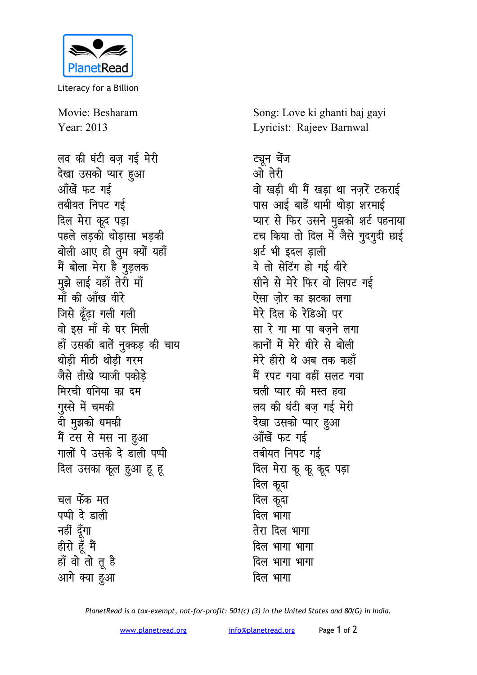

Literacy for a Billion

Movie: Besharam Year: 2013

लव की घंटी बज़ गई मेरी देखा उसको प्यार हुआ आँखें फट गई तबीयत निपट गई दिल मेरा कूद पड़ा पहले लड़की थोड़ासा भड़की बोली आए हो तुम क्यों यहाँ मैं बोला मेरा है गुड़लक मुझे लाई यहाँ तेरी माँ माँ की आँख वीरे जिसे ढूँढ़ा गली गली वो इस माँ के घर मिली हाँ उसकी बातें नुक्कड़ की चाय थोडी मीठी थोडी गरम जैसे तीखे प्याजी पकोडे मिरची धनिया का दम गुस्से में चमकी दी मुझको धमकी मैं टस से मस ना हुआ गालों पे उसके दे डाली पप्पी दिल उसका कूल हुआ हू हू चल फेंक मत पप्पी दे डाली नहीं दूँगा

हीरो हूँ मैं

हाँ वो तो तू है

आगे क्या हुआ

Song: Love ki ghanti baj gayi Lyricist: Rajeev Barnwal

ट्यून चेंज ओ तेरी वो खडी थी मैं खडा था नजरें टकराई पास आई बाहें थामी थोड़ा शरमाई प्यार से फिर उसने मुझको शर्ट पहनाया टच किया तो दिल में जैसे गुदगुदी छाई शर्ट भी इदल डाली ये तो सेटिंग हो गई वीरे सीने से मेरे फिर वो लिपट गई ऐसा जोर का झटका लगा मेरे दिल के रेडिओ पर सा रे गा मा पा बजने लगा कानों में मेरे धीरे से बोली मेरे हीरो थे अब तक कहाँ मैं रपट गया वहीं सलट गया चली प्यार की मस्त हवा लव की घंटी बज गई मेरी देखा उसको प्यार हुआ आँखें फट गई तबीयत निपट गई दिल मेरा कू कू कूद पड़ा दिल कूदा दिल कूदा दिल भागा तेरा दिल भागा दिल भागा भागा दिल भागा भागा दिल भागा

PlanetRead is a tax-exempt, not-for-profit: 501(c) (3) in the United States and 80(G) in India.